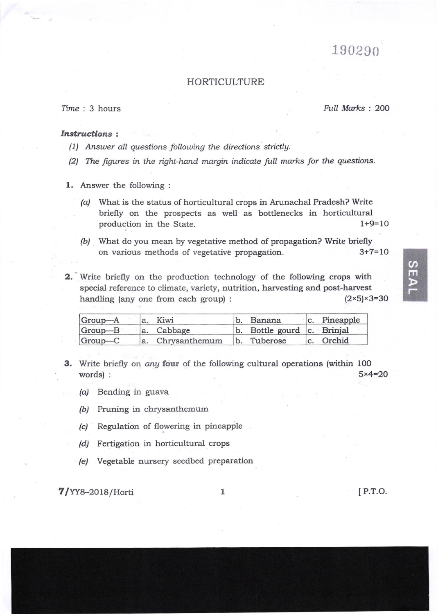# 190290

### HORTICULTURE

Iime : 3 hours Full Marks : 2OO

### Instructions :

- (1) Answer all questions follouing the directions stictlg.
- (2) The figures in the right-hand margin indicate full marks for the questions.
- 1. Answer the following :
	- (a) What is the status of horticultural crops in Arunachal Pradesh? Write briefly on the prospects as well as bottlenecks in horticultural production in the State. 1+9=10
	- (b) What do you mean by vegetative method of propagation? Write briefly on various methods of vegetative propagation. 3+7=lO
- 2. Write briefly on the production technology of the following crops with special reference to climate, variety, nutrition, harvesting and post-harvest handling (any one from each group) :  $(2 \times 5) \times 3 = 30$

| Group-A | a. Kiwi          | b. Banana                  | c. Pineapple |
|---------|------------------|----------------------------|--------------|
| Group-B | a. Cabbage       | b. Bottle gourd c. Brinjal |              |
| Group-C | a. Chrysanthemum | b. Tuberose                | c. Orchid    |

- 3. Write briefly on any four of the following cultural operations (within 100  $words):$   $5 \times 4 = 20$ 
	- /a/ Bending in guava
	- /bi Pruning in chrysanthemum
	- (c) Regulation of flowering in pineapple
	- (d) Fertigation in horticultural crops
	- /e/ Vegetable nursery seedbed preparation

 $7/YY8-2018/Horti$  1 [P.T.O.

 $\Omega$ m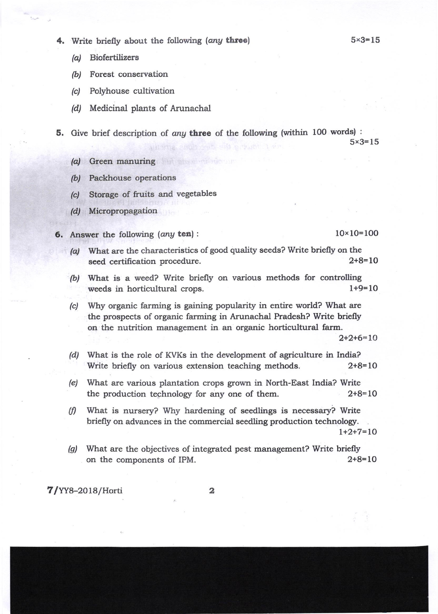- 4. Write briefly about the following (any three)
	- /a/ Biofertilizers
	- /b/ Forest conservation
	- (c) Polyhouse cultivation
	- /d/ Medicinal plants of Arunachal
- 5. Give brief description of any three of the following (within 100 words) :  $5 \times 3 = 15$ L four a the meeting situation
	- (o) Green manuring
	- (b) Packhouse operations
	- (c) Storage of fruits and vegetables
	- (d/ Micropropagation
- **6.** Answer the following (any ten):  $10 \times 10 = 100$

 $5 \times 3 = 15$ 

- (a) What are the characteristics of good quality seeds? Write briefly on the seed certification procedure. 2+8=10
- (b) What is a weed? Write briefly on various methods for controlling weeds in horticultural crops.  $1+9=10$
- (c) Why organic farming is gaining popularity in entire world? What are the prospects of organic farming in Arunachal Pradesh? Write briefly on the nutrition management in an organic horticultural farm.  $2+2+6=10$

(d) What is the role of KVKs in the development of agriculture in India? Write briefly on various extension teaching methods. 2+8=10

- (e) What are various plantation crops grown in North-East India? Write the production technology for any one of them.  $2+8=10$
- $(f)$  What is nursery? Why hardening of seedlings is necessary? Write briefly on advances in the commercial seedling production technologr. l+2+7=LO
- (g) What are the objectives of integrated pest management? Write briefly<br>on the components of IPM on the components of IPM.

 $7/YY8-2018/Horti$  2